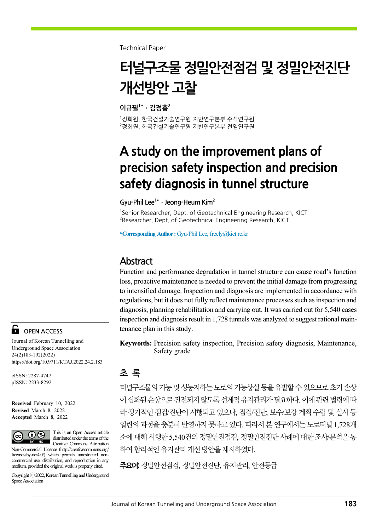Technical Paper

# 터널구조물 정밀안전점검 및 정밀안전진단 개선방안 고찰

 $0.74$ 필 $1*$  · 김정흠 $2$ 

1 정회원, 한국건설기술연구원 지반연구본부 수석연구원  $^{2}$ 정회원, 한국건설기술연구원 지반연구본부 전임연구원

## A study on the improvement plans of precision safety inspection and precision safety diagnosis in tunnel structure

#### Gyu-Phil Lee<sup>1\*</sup> · Jeong-Heum Kim<sup>2</sup>

<sup>1</sup>Senior Researcher, Dept. of Geotechnical Engineering Research, KICT <sup>2</sup> Researcher, Dept. of Geotechnical Engineering Research, KICT

\*Corresponding Author : Gyu-Phil Lee, freely@kict.re.kr

### **Abstract**

Function and performance degradation in tunnel structure can cause road's function loss, proactive maintenance is needed to prevent the initial damage from progressing to intensified damage. Inspection and diagnosis are implemented in accordance with regulations, but it does not fully reflect maintenance processes such as inspection and diagnosis, planning rehabilitation and carrying out. It was carried out for 5,540 cases inspection and diagnosis result in 1,728 tunnels was analyzed to suggest rational maintenance plan in this study.

Keywords: Precision safety inspection, Precision safety diagnosis, Maintenance, Safety grade

#### 초 록

터널구조물의 기능 및 성능저하는 도로의 기능상실 등을 유발할 수 있으므로 초기 손상 이 심화된 손상으로 진전되지 않도록 선제적 유지관리가 필요하다. 이에 관련 법령에 따 라 정기적인 점검/진단이 시행되고 있으나, 점검/진단, 보수/보강 계획 수립 및 실시 등 일련의 과정을 충분히 반영하지 못하고 있다. 따라서 본 연구에서는 도로터널 1,728개 소에 대해 시행한 5,540건의 정밀안전점검, 정밀안전진단 사례에 대한 조사/분석을 통 하여 합리적인 유지관리 개선 방안을 제시하였다.

주요어: 정밀안전점검, 정밀안전진단, 유지관리, 안전등급

OPEN ACCESS

Journal of Korean Tunnelling and Underground Space Association 24(2)183-192(2022) https://doi.org/10.9711/KTAJ.2022.24.2.183

eISSN: 2287-4747 pISSN: 2233-8292

Received February 10, 2022 Revised March 8, 2022 Accepted March 8, 2022



This is an Open Access article distributed under the terms of the Creative Commons Attribution

Non-Commercial License (http://creativecommons.org/ licenses/by-nc/4.0/) which permits unrestricted noncommercial use, distribution, and reproduction in any medium, provided the original work is properly cited.

Copyright ⓒ2022, Korean Tunnelling and Underground Space Association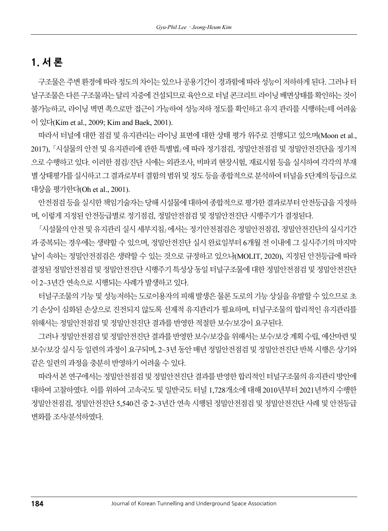## 1. 서 론

구조물은 주변 환경에 따라 정도의 차이는 있으나 공용기간이 경과함에 따라 성능이 저하하게 된다. 그러나 터 널구조물은 다른 구조물과는 달리 지중에 건설되므로 육안으로 터널 콘크리트 라이닝 배면상태를 확인하는 것이 불가능하고, 라이닝 벽면 쪽으로만 접근이 가능하여 성능저하 정도를 확인하고 유지 관리를 시행하는데 어려움 이 있다(Kim et al., 2009; Kim and Baek, 2001).

따라서 터널에 대한 점검 및 유지관리는 라이닝 표면에 대한 상태 평가 위주로 진행되고 있으며(Moon et al., 2017), 「시설물의 안전 및 유지관리에 관한 특별법」에 따라 정기점검, 정밀안전점검 및 정밀안전진단을 정기적 으로 수행하고 있다. 이러한 점검/진단 시에는 외관조사, 비파괴 현장시험, 재료시험 등을 실시하여 각각의 부재 별 상태평가를 실시하고 그 결과로부터 결함의 범위 및 정도 등을 종합적으로 분석하여 터널을 5단계의 등급으로 대상을 평가한다(Oh et al., 2001).

안전점검 등을 실시한 책임기술자는 당해 시설물에 대하여 종합적으로 평가한 결과로부터 안전등급을 지정하 며, 이렇게 지정된 안전등급별로 정기점검, 정밀안전점검 및 정밀안전진단 시행주기가 결정된다.

「시설물의 안전 및 유지관리 실시 세부지침」에서는 정기안전점검은 정밀안전점검, 정밀안전진단의 실시기간 과 중복되는 경우에는 생략할 수 있으며, 정밀안전진단 실시 완료일부터 6개월 전 이내에 그 실시주기의 마지막 날이 속하는 정밀안전점검은 생략할 수 있는 것으로 규정하고 있으나(MOLIT, 2020), 지정된 안전등급에 따라 결정된 정밀안전점검 및 정밀안전진단 시행주기 특성상 동일 터널구조물에 대한 정밀안전점검 및 정밀안전진단 이 2~3년간 연속으로 시행되는 사례가 발생하고 있다.

터널구조물의 기능 및 성능저하는 도로이용자의 피해 발생은 물론 도로의 기능 상실을 유발할 수 있으므로 초 기 손상이 심화된 손상으로 진전되지 않도록 선제적 유지관리가 필요하며, 터널구조물의 합리적인 유지관리를 위해서는 정밀안전점검 및 정밀안전진단 결과를 반영한 적절한 보수/보강이 요구된다.

그러나 정밀안전점검 및 정밀안전진단 결과를 반영한 보수/보강을 위해서는 보수/보강 계획 수립, 예산마련 및 보수/보강 실시 등 일련의 과정이 요구되며, 2~3년 동안 매년 정밀안전점검 및 정밀안전진단 반복 시행은 상기와 같은 일련의 과정을 충분히 반영하기 어려울 수 있다.

따라서 본 연구에서는 정밀안전점검 및 정밀안전진단 결과를 반영한 합리적인 터널구조물의 유지관리 방안에 대하여 고찰하였다. 이를 위하여 고속국도 및 일반국도 터널 1,728개소에 대해 2010년부터 2021년까지 수행한 정밀안전점검, 정밀안전진단 5,540건 중 2~3년간 연속 시행된 정밀안전점검 및 정밀안전진단 사례 및 안전등급 변화를 조사/분석하였다.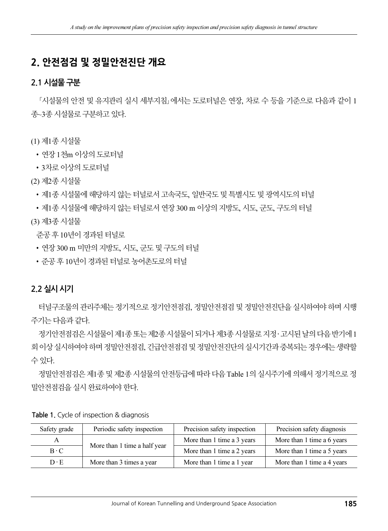## 2. 안전점검 및 정밀안전진단 개요

#### 2.1 시설물 구분

「시설물의 안전 및 유지관리 실시 세부지침」에서는 도로터널은 연장, 차로 수 등을 기준으로 다음과 같이 1 종~3종 시설물로 구분하고 있다.

(1) 제1종 시설물

• 여장 1천m 이상의 도로터널

• 3차로 이상의 도로터널

(2) 제2종 시설물

•제1종 시설물에 해당하지 않는 터널로서 고속국도, 일반국도 및 특별시도 및 광역시도의 터널

•제1종 시설물에 해당하지 않는 터널로서 연장 300 m 이상의 지방도, 시도, 군도, 구도의 터널

(3) 제3종 시설물

준공 후 10년이 경과된 터널로

- •연장 300 m 미만의 지방도, 시도, 군도 및 구도의 터널
- •준공 후 10년이 경과된 터널로 농어촌도로의 터널

#### 2.2 실시 시기

터널구조물의 관리주체는 정기적으로 정기안전점검, 정밀안전점검 및 정밀안전진단을 실시하여야 하며 시행 주기는 다음과 같다.

정기안전점검은 시설물이 제1종 또는 제2종 시설물이 되거나 제3종 시설물로 지정 ‧ 고시된 날의 다음 반기에 1 회 이상 실시하여야 하며 정밀안전점검, 긴급안전점검 및 정밀안전진단의 실시기간과 중복되는 경우에는 생략할 수 있다.

정밀안전점검은 제1종 및 제2종 시설물의 안전등급에 따라 다음 Table 1의 실시주기에 의해서 정기적으로 정 밀안전점검을 실시 완료하여야 한다.

| Safety grade | Periodic safety inspection   | Precision safety inspection | Precision safety diagnosis |
|--------------|------------------------------|-----------------------------|----------------------------|
| A            | More than 1 time a half year | More than 1 time a 3 years  | More than 1 time a 6 years |
| $B \cdot C$  |                              | More than 1 time a 2 years  | More than 1 time a 5 years |
| $D \cdot E$  | More than 3 times a year     | More than 1 time a 1 year   | More than 1 time a 4 years |

Table 1. Cycle of inspection & diagnosis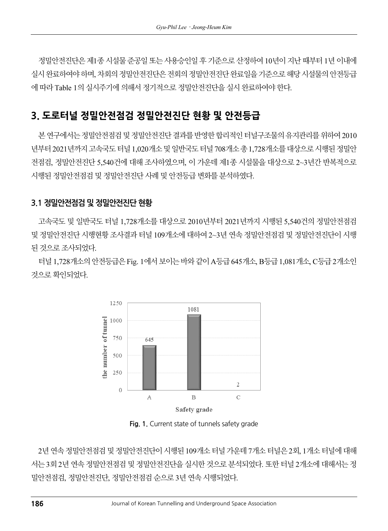정밀안전진단은 제1종 시설물 준공일 또는 사용승인일 후 기준으로 산정하여 10년이 지난 때부터 1년 이내에 실시 완료하여야 하며, 차회의 정밀안전진단은 전회의 정밀안전진단 완료일을 기준으로 해당 시설물의 안전등급 에 따라 Table 1의 실시주기에 의해서 정기적으로 정밀안전진단을 실시 완료하여야 한다.

## 3. 도로터널 정밀안전점검 정밀안전진단 현황 및 안전등급

본 연구에서는 정밀안전점검 및 정밀안전진단 결과를 반영한 합리적인 터널구조물의 유지관리를 위하여 2010 년부터 2021년까지 고속국도 터널 1,020개소 및 일반국도 터널 708개소 총 1,728개소를 대상으로 시행된 정밀안 전점검, 정밀안전진단 5,540건에 대해 조사하였으며, 이 가운데 제1종 시설물을 대상으로 2~3년간 반복적으로 시행된 정밀안전점검 및 정밀안전진단 사례 및 안전등급 변화를 분석하였다.

#### 3.1 정밀안전점검 및 정밀안전진단 현황

고속국도 및 일반국도 터널 1,728개소를 대상으로 2010년부터 2021년까지 시행된 5,540건의 정밀안전점검 및 정밀안전진단 시행현황 조사결과 터널 109개소에 대하여 2~3년 연속 정밀안전점검 및 정밀안전진단이 시행 된 것으로 조사되었다.

터널 1,728개소의 안전등급은 Fig. 1에서 보이는 바와 같이 A등급 645개소, B등급 1,081개소, C등급 2개소인 것으로 확인되었다.



Fig. 1. Current state of tunnels safety grade

2년 연속 정밀안전점검 및 정밀안전진단이 시행된 109개소 터널 가운데 7개소 터널은 2회, 1개소 터널에 대해 서는 3회 2년 연속 정밀안전점검 및 정밀안전진단을 실시한 것으로 분석되었다. 또한 터널 2개소에 대해서는 정 밀안전점검, 정밀안전진단, 정밀안전점검 순으로 3년 연속 시행되었다.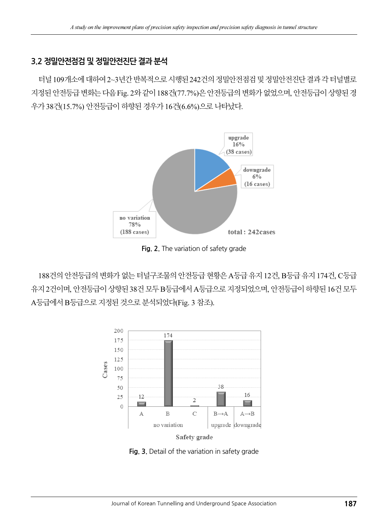#### 3.2 정밀안전점검 및 정밀안전진단 결과 분석

터널 109개소에 대하여 2~3년간 반복적으로 시행된 242건의 정밀안전점검 및 정밀안전진단 결과 각 터널별로 지정된 안전등급 변화는 다음 Fig. 2와 같이 188건(77.7%)은 안전등급의 변화가 없었으며, 안전등급이 상향된 경 우가 38건(15.7%) 안전등급이 하향된 경우가 16건(6.6%)으로 나타났다.



Fig. 2. The variation of safety grade

188건의 안전등급의 변화가 없는 터널구조물의 안전등급 현황은 A등급 유지 12건, B등급 유지 174건, C등급 유지 2건이며, 안전등급이 상향된 38건 모두 B등급에서 A등급으로 지정되었으며, 안전등급이 하향된 16건 모두 A등급에서 B등급으로 지정된 것으로 분석되었다(Fig. 3 참조).



Fig. 3. Detail of the variation in safety grade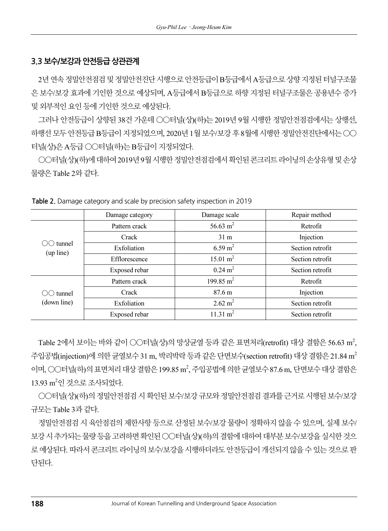#### 3.3 보수/보강과 안전등급 상관관계

2년 연속 정밀안전점검 및 정밀안전진단 시행으로 안전등급이 B등급에서 A등급으로 상향 지정된 터널구조물 은 보수/보강 효과에 기인한 것으로 예상되며, A등급에서 B등급으로 하향 지정된 터널구조물은 공용년수 증가 및 외부적인 요인 등에 기인한 것으로 예상된다.

그러나 안전등급이 상향된 38건 가운데 ○○터널(상)(하)는 2019년 9월 시행한 정밀안전점검에서는 상행선, 하행선 모두 안전등급 B등급이 지정되었으며, 2020년 1월 보수/보강 후 8월에 시행한 정밀안전진단에서는 ○○ 터널(상)은 A등급 ○○터널(하)는 B등급이 지정되었다.

○○터널(상)(하)에 대하여 2019년 9월 시행한 정밀안전점검에서 확인된 콘크리트 라이닝의 손상유형 및 손상 물량은 Table 2와 같다.

|                       | Damage category | Damage scale          | Repair method    |
|-----------------------|-----------------|-----------------------|------------------|
| tunnel<br>(up line)   | Pattern crack   | 56.63 $m2$            | Retrofit         |
|                       | Crack           | 31 <sub>m</sub>       | Injection        |
|                       | Exfoliation     | $6.59 \text{ m}^2$    | Section retrofit |
|                       | Efflorescence   | $15.01 \text{ m}^2$   | Section retrofit |
|                       | Exposed rebar   | $0.24 \text{ m}^2$    | Section retrofit |
| tunnel<br>(down line) | Pattern crack   | 199.85 m <sup>2</sup> | Retrofit         |
|                       | Crack           | $87.6 \text{ m}$      | Injection        |
|                       | Exfoliation     | $2.62 \text{ m}^2$    | Section retrofit |
|                       | Exposed rebar   | $11.31 \text{ m}^2$   | Section retrofit |

Table 2. Damage category and scale by precision safety inspection in 2019

Table 2에서 보이는 바와 같이 ○○터널(상)의 망상균열 등과 같은 표면처리(retrofit) 대상 결함은 56.63 m<sup>2</sup>, 주입공법(injection)에 의한 균열보수 31 m, 박리박락 등과 같은 단면보수(section retrofit) 대상 결함은 21.84 m<sup>2</sup> 이며, ○○터널(하)의 표면처리 대상 결함은 199.85 m<sup>2</sup>, 주입공법에 의한 균열보수 87.6 m, 단면보수 대상 결함은 13.93 m<sup>2</sup>인 것으로 조사되었다.

○○터널(상)(하)의 정밀안전점검 시 확인된 보수/보강 규모와 정밀안전점검 결과를 근거로 시행된 보수/보강 규모는 Table 3과 같다.

정밀안전점검 시 육안점검의 제한사항 등으로 산정된 보수/보강 물량이 정확하지 않을 수 있으며, 실제 보수/ 보강 시 추가되는 물량 등을 고려하면 확인된 ○○터널(상)(하)의 결함에 대하여 대부분 보수/보강을 실시한 것으 로 예상된다. 따라서 콘크리트 라이닝의 보수/보강을 시행하더라도 안전등급이 개선되지 않을 수 있는 것으로 판 단된다.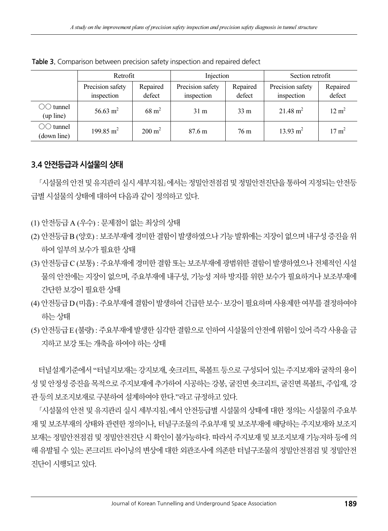|                                  | Retrofit                       |                    | Injection                      |                    | Section retrofit               |                    |
|----------------------------------|--------------------------------|--------------------|--------------------------------|--------------------|--------------------------------|--------------------|
|                                  | Precision safety<br>inspection | Repaired<br>defect | Precision safety<br>inspection | Repaired<br>defect | Precision safety<br>inspection | Repaired<br>defect |
| $\bigcirc$ tunnel<br>(up line)   | 56.63 m <sup>2</sup>           | $68 \text{ m}^2$   | 31 <sub>m</sub>                | 33 <sub>m</sub>    | $21.48 \text{ m}^2$            | $12 \text{ m}^2$   |
| $\bigcirc$ tunnel<br>(down line) | 199.85 m <sup>2</sup>          | $200 \text{ m}^2$  | 87.6 m                         | 76 m               | $13.93 \text{ m}^2$            | $17 \text{ m}^2$   |

Table 3. Comparison between precision safety inspection and repaired defect

#### 3.4 안전등급과 시설물의 상태

「시설물의 안전 및 유지관리 실시 세부지침」에서는 정밀안전점검 및 정밀안전진단을 통하여 지정되는 안전등 급별 시설물의 상태에 대하여 다음과 같이 정의하고 있다.

- (1) 안전등급 A (우수) : 문제점이 없는 최상의 상태
- (2) 안전등급 B (양호) : 보조부재에 경미한 결함이 발생하였으나 기능 발휘에는 지장이 없으며 내구성 증진을 위 하여 일부의 보수가 필요한 상태
- (3) 안전등급 C (보통) : 주요부재에 경미한 결함 또는 보조부재에 광범위한 결함이 발생하였으나 전체적인 시설 물의 안전에는 지장이 없으며, 주요부재에 내구성, 기능성 저하 방지를 위한 보수가 필요하거나 보조부재에 간단한 보강이 필요한 상태
- (4) 안전등급 D (미흡) : 주요부재에 결함이 발생하여 긴급한 보수 ‧ 보강이 필요하며 사용제한 여부를 결정하여야 하는 상태
- (5) 안전등급 E (불량) : 주요부재에 발생한 심각한 결함으로 인하여 시설물의 안전에 위험이 있어 즉각 사용을 금 지하고 보강 또는 개축을 하여야 하는 상태

터널설계기준에서 "터널지보재는 강지보재, 숏크리트, 록볼트 등으로 구성되어 있는 주지보재와 굴착의 용이 성 및 안정성 증진을 목적으로 주지보재에 추가하여 시공하는 강봉, 굴진면 숏크리트, 굴진면 록볼트, 주입재, 강 관 등의 보조지보재로 구분하여 설계하여야 한다."라고 규정하고 있다.

「시설물의 안전 및 유지관리 실시 세부지침」에서 안전등급별 시설물의 상태에 대한 정의는 시설물의 주요부 재 및 보조부재의 상태와 관련한 정의이나, 터널구조물의 주요부재 및 보조부재에 해당하는 주지보재와 보조지 보재는 정밀안전점검 및 정밀안전진단 시 확인이 불가능하다. 따라서 주지보재 및 보조지보재 기능저하 등에 의 해 유발될 수 있는 콘크리트 라이닝의 변상에 대한 외관조사에 의존한 터널구조물의 정밀안전점검 및 정밀안전 진단이 시행되고 있다.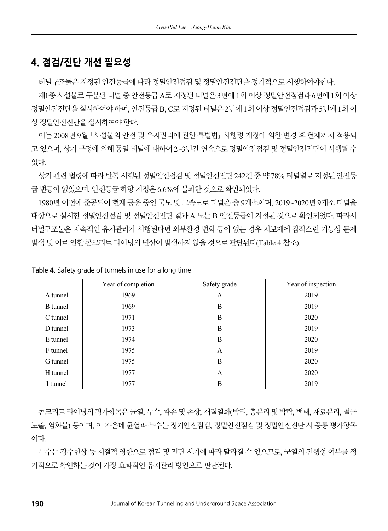#### 4. 점검/진단 개선 필요성

터널구조물은 지정된 안전등급에 따라 정밀안전점검 및 정밀안전진단을 정기적으로 시행하여야한다.

제1종 시설물로 구분된 터널 중 안전등급 A로 지정된 터널은 3년에 1회 이상 정밀안전점검과 6년에 1회 이상 정밀안전진단을 실시하여야 하며, 안전등급 B, C로 지정된 터널은 2년에 1회 이상 정밀안전점검과 5년에 1회 이 상 정밀안전진단을 실시하여야 한다.

이는 2008년 9월 「시설물의 안전 및 유지관리에 관한 특별법」 시행령 개정에 의한 변경 후 현재까지 적용되 고 있으며, 상기 규정에 의해 동일 터널에 대하여 2~3년간 연속으로 정밀안전점검 및 정밀안전진단이 시행될 수 있다.

상기 관련 법령에 따라 반복 시행된 정밀안전점검 및 정밀안전진단 242건 중 약 78% 터널별로 지정된 안전등 급 변동이 없었으며, 안전등급 하향 지정은 6.6%에 불과한 것으로 확인되었다.

1980년 이전에 준공되어 현재 공용 중인 국도 및 고속도로 터널은 총 9개소이며, 2019~2020년 9개소 터널을 대상으로 실시한 정밀안전점검 및 정밀안전진단 결과 A 또는 B 안전등급이 지정된 것으로 확인되었다. 따라서 터널구조물은 지속적인 유지관리가 시행된다면 외부환경 변화 등이 없는 경우 지보재에 갑작스런 기능상 문제 발생 및 이로 인한 콘크리트 라이닝의 변상이 발생하지 않을 것으로 판단된다(Table 4 참조).

|                 | Year of completion | Safety grade | Year of inspection |
|-----------------|--------------------|--------------|--------------------|
| A tunnel        | 1969               | A            | 2019               |
| <b>B</b> tunnel | 1969               | B            | 2019               |
| C tunnel        | 1971               | B            | 2020               |
| D tunnel        | 1973               | B            | 2019               |
| E tunnel        | 1974               | B            | 2020               |
| F tunnel        | 1975               | А            | 2019               |
| G tunnel        | 1975               | B            | 2020               |
| H tunnel        | 1977               | А            | 2020               |
| I tunnel        | 1977               | B            | 2019               |

Table 4. Safety grade of tunnels in use for a long time

콘크리트 라이닝의 평가항목은 균열, 누수, 파손 및 손상, 재질열화(박리, 층분리 및 박락, 백태, 재료분리, 철근 노출, 염화물) 등이며, 이 가운데 균열과 누수는 정기안전점검, 정밀안전점검 및 정밀안전진단 시 공통 평가항목 이다.

누수는 강수현상 등 계절적 영향으로 점검 및 진단 시기에 따라 달라질 수 있으므로, 균열의 진행성 여부를 정 기적으로 확인하는 것이 가장 효과적인 유지관리 방안으로 판단된다.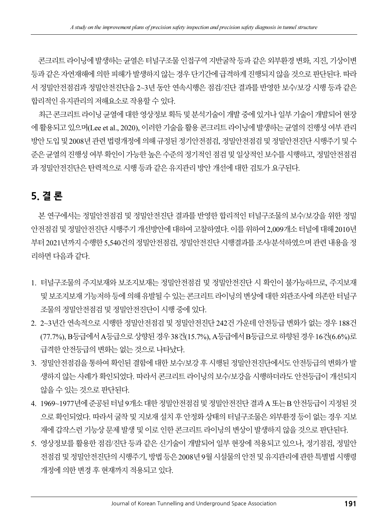콘크리트 라이닝에 발생하는 균열은 터널구조물 인접구역 지반굴착 등과 같은 외부환경 변화, 지진, 기상이변 등과 같은 자연재해에 의한 피해가 발생하지 않는 경우 단기간에 급격하게 진행되지 않을 것으로 판단된다. 따라 서 정밀안전점검과 정밀안전진단을 2~3년 동안 연속시행은 점검/진단 결과를 반영한 보수/보강 시행 등과 같은 합리적인 유지관리의 저해요소로 작용할 수 있다.

최근 콘크리트 라이닝 균열에 대한 영상정보 획득 및 분석기술이 개발 중에 있거나 일부 기술이 개발되어 현장 에 활용되고 있으며(Lee et al., 2020), 이러한 기술을 활용 콘크리트 라이닝에 발생하는 균열의 진행성 여부 관리 방안 도입 및 2008년 관련 법령개정에 의해 규정된 정기안전점검, 정밀안전점검 및 정밀안전진단 시행주기 및 수 준은 균열의 진행성 여부 확인이 가능한 높은 수준의 정기적인 점검 및 일상적인 보수를 시행하고, 정밀안전점검 과 정밀안전진단은 탄력적으로 시행 등과 같은 유지관리 방안 개선에 대한 검토가 요구된다.

## 5. 결 론

본 연구에서는 정밀안전점검 및 정밀안전진단 결과를 반영한 합리적인 터널구조물의 보수/보강을 위한 정밀 안전점검 및 정밀안전진단 시행주기 개선방안에 대하여 고찰하였다. 이를 위하여 2,009개소 터널에 대해 2010년 부터 2021년까지 수행한 5,540건의 정밀안전점검, 정밀안전진단 시행결과를 조사/분석하였으며 관련 내용을 정 리하면 다음과 같다.

- 1. 터널구조물의 주지보재와 보조지보재는 정밀안전점검 및 정밀안전진단 시 확인이 불가능하므로, 주지보재 및 보조지보재 기능저하 등에 의해 유발될 수 있는 콘크리트 라이닝의 변상에 대한 외관조사에 의존한 터널구 조물의 정밀안전점검 및 정밀안전진단이 시행 중에 있다.
- 2. 2~3년간 연속적으로 시행한 정밀안전점검 및 정밀안전진단 242건 가운데 안전등급 변화가 없는 경우 188건 (77.7%), B등급에서 A등급으로 상향된 경우 38건(15.7%), A등급에서 B등급으로 하향된 경우 16건(6.6%)로 급격한 안전등급의 변화는 없는 것으로 나타났다.
- 3. 정밀안전점검을 통하여 확인된 결함에 대한 보수/보강 후 시행된 정밀안전진단에서도 안전등급의 변화가 발 생하지 않는 사례가 확인되었다. 따라서 콘크리트 라이닝의 보수/보강을 시행하더라도 안전등급이 개선되지 않을 수 있는 것으로 판단된다.
- 4. 1969~1977년에 준공된 터널 9개소 대한 정밀안전점검 및 정밀안전진단 결과 A 또는 B 안전등급이 지정된 것 으로 확인되었다. 따라서 굴착 및 지보재 설치 후 안정화 상태의 터널구조물은 외부환경 등이 없는 경우 지보 재에 갑작스런 기능상 문제 발생 및 이로 인한 콘크리트 라이닝의 변상이 발생하지 않을 것으로 판단된다.
- 5. 영상정보를 활용한 점검/진단 등과 같은 신기술이 개발되어 일부 현장에 적용되고 있으나, 정기점검, 정밀안 전점검 및 정밀안전진단의 시행주기, 방법 등은 2008년 9월 시설물의 안전 및 유지관리에 관한 특별법 시행령 개정에 의한 변경 후 현재까지 적용되고 있다.